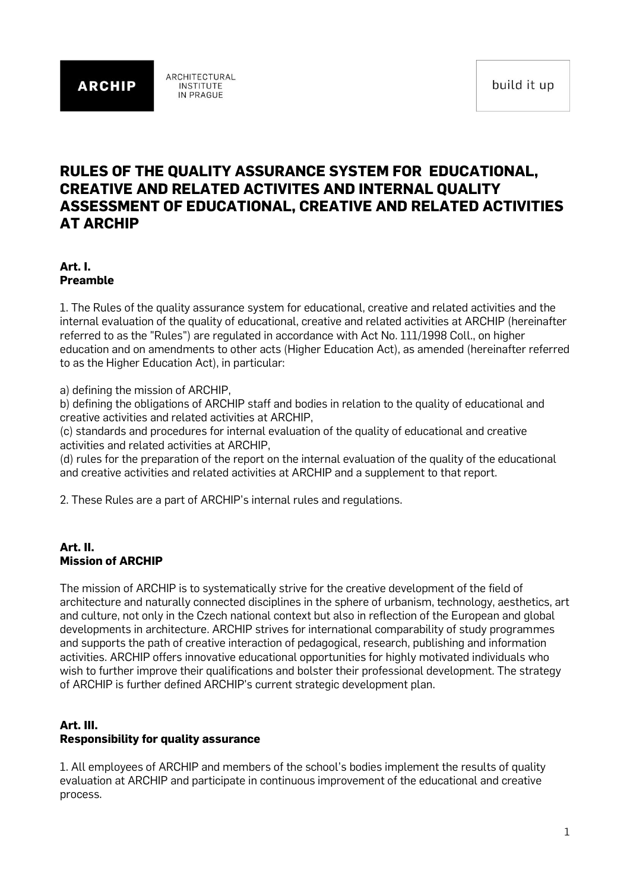**ARCHIP** 

ARCHITECTURAL **INSTITUTE** IN PRAGUE

# **RULES OF THE QUALITY ASSURANCE SYSTEM FOR EDUCATIONAL, CREATIVE AND RELATED ACTIVITES AND INTERNAL QUALITY ASSESSMENT OF EDUCATIONAL, CREATIVE AND RELATED ACTIVITIES AT ARCHIP**

# **Art. I. Preamble**

1. The Rules of the quality assurance system for educational, creative and related activities and the internal evaluation of the quality of educational, creative and related activities at ARCHIP (hereinafter referred to as the "Rules") are regulated in accordance with Act No. 111/1998 Coll., on higher education and on amendments to other acts (Higher Education Act), as amended (hereinafter referred to as the Higher Education Act), in particular:

a) defining the mission of ARCHIP,

b) defining the obligations of ARCHIP staff and bodies in relation to the quality of educational and creative activities and related activities at ARCHIP,

(c) standards and procedures for internal evaluation of the quality of educational and creative activities and related activities at ARCHIP,

(d) rules for the preparation of the report on the internal evaluation of the quality of the educational and creative activities and related activities at ARCHIP and a supplement to that report.

2. These Rules are a part of ARCHIP's internal rules and regulations.

## **Art. II. Mission of ARCHIP**

The mission of ARCHIP is to systematically strive for the creative development of the field of architecture and naturally connected disciplines in the sphere of urbanism, technology, aesthetics, art and culture, not only in the Czech national context but also in reflection of the European and global developments in architecture. ARCHIP strives for international comparability of study programmes and supports the path of creative interaction of pedagogical, research, publishing and information activities. ARCHIP offers innovative educational opportunities for highly motivated individuals who wish to further improve their qualifications and bolster their professional development. The strategy of ARCHIP is further defined ARCHIP's current strategic development plan.

# **Art. III. Responsibility for quality assurance**

1. All employees of ARCHIP and members of the school's bodies implement the results of quality evaluation at ARCHIP and participate in continuous improvement of the educational and creative process.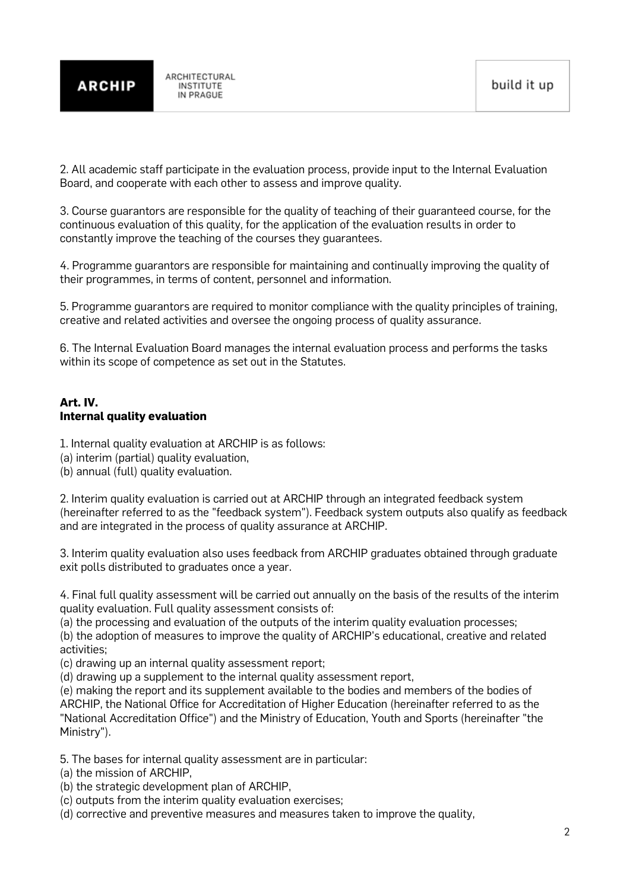

2. All academic staff participate in the evaluation process, provide input to the Internal Evaluation Board, and cooperate with each other to assess and improve quality.

3. Course guarantors are responsible for the quality of teaching of their guaranteed course, for the continuous evaluation of this quality, for the application of the evaluation results in order to constantly improve the teaching of the courses they guarantees.

4. Programme guarantors are responsible for maintaining and continually improving the quality of their programmes, in terms of content, personnel and information.

5. Programme guarantors are required to monitor compliance with the quality principles of training, creative and related activities and oversee the ongoing process of quality assurance.

6. The Internal Evaluation Board manages the internal evaluation process and performs the tasks within its scope of competence as set out in the Statutes.

#### **Art. IV. Internal quality evaluation**

1. Internal quality evaluation at ARCHIP is as follows:

(a) interim (partial) quality evaluation,

(b) annual (full) quality evaluation.

2. Interim quality evaluation is carried out at ARCHIP through an integrated feedback system (hereinafter referred to as the "feedback system"). Feedback system outputs also qualify as feedback and are integrated in the process of quality assurance at ARCHIP.

3. Interim quality evaluation also uses feedback from ARCHIP graduates obtained through graduate exit polls distributed to graduates once a year.

4. Final full quality assessment will be carried out annually on the basis of the results of the interim quality evaluation. Full quality assessment consists of:

(a) the processing and evaluation of the outputs of the interim quality evaluation processes;

(b) the adoption of measures to improve the quality of ARCHIP's educational, creative and related activities;

(c) drawing up an internal quality assessment report;

(d) drawing up a supplement to the internal quality assessment report,

(e) making the report and its supplement available to the bodies and members of the bodies of ARCHIP, the National Office for Accreditation of Higher Education (hereinafter referred to as the "National Accreditation Office") and the Ministry of Education, Youth and Sports (hereinafter "the Ministry").

5. The bases for internal quality assessment are in particular:

(a) the mission of ARCHIP,

(b) the strategic development plan of ARCHIP,

(c) outputs from the interim quality evaluation exercises;

(d) corrective and preventive measures and measures taken to improve the quality,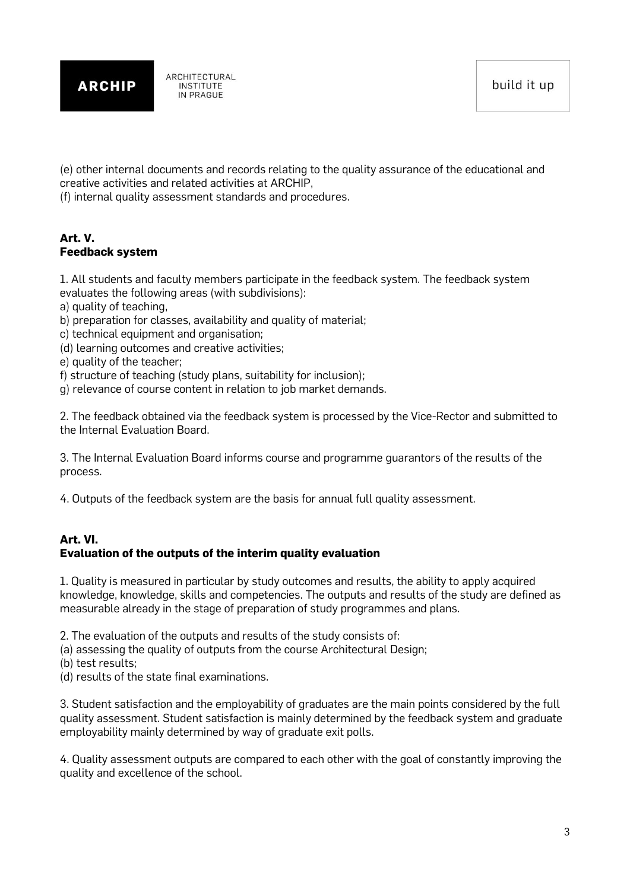

(e) other internal documents and records relating to the quality assurance of the educational and creative activities and related activities at ARCHIP,

(f) internal quality assessment standards and procedures.

#### **Art. V. Feedback system**

1. All students and faculty members participate in the feedback system. The feedback system evaluates the following areas (with subdivisions):

a) quality of teaching,

- b) preparation for classes, availability and quality of material;
- c) technical equipment and organisation;
- (d) learning outcomes and creative activities;
- e) quality of the teacher;
- f) structure of teaching (study plans, suitability for inclusion);
- g) relevance of course content in relation to job market demands.

2. The feedback obtained via the feedback system is processed by the Vice-Rector and submitted to the Internal Evaluation Board.

3. The Internal Evaluation Board informs course and programme guarantors of the results of the process.

4. Outputs of the feedback system are the basis for annual full quality assessment.

# **Art. VI. Evaluation of the outputs of the interim quality evaluation**

1. Quality is measured in particular by study outcomes and results, the ability to apply acquired knowledge, knowledge, skills and competencies. The outputs and results of the study are defined as measurable already in the stage of preparation of study programmes and plans.

2. The evaluation of the outputs and results of the study consists of:

(a) assessing the quality of outputs from the course Architectural Design;

(b) test results;

(d) results of the state final examinations.

3. Student satisfaction and the employability of graduates are the main points considered by the full quality assessment. Student satisfaction is mainly determined by the feedback system and graduate employability mainly determined by way of graduate exit polls.

4. Quality assessment outputs are compared to each other with the goal of constantly improving the quality and excellence of the school.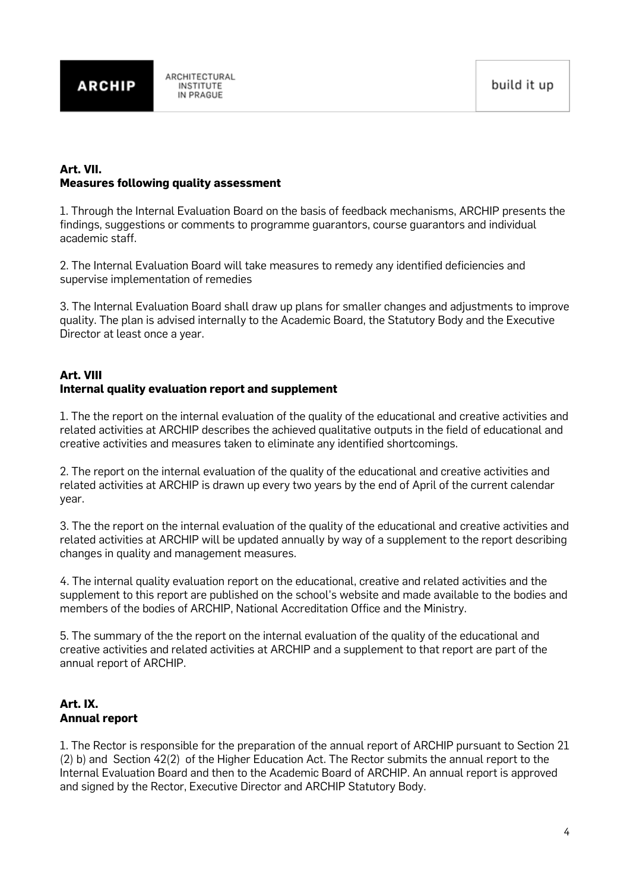

## **Art. VII. Measures following quality assessment**

1. Through the Internal Evaluation Board on the basis of feedback mechanisms, ARCHIP presents the findings, suggestions or comments to programme guarantors, course guarantors and individual academic staff.

2. The Internal Evaluation Board will take measures to remedy any identified deficiencies and supervise implementation of remedies

3. The Internal Evaluation Board shall draw up plans for smaller changes and adjustments to improve quality. The plan is advised internally to the Academic Board, the Statutory Body and the Executive Director at least once a year.

#### **Art. VIII Internal quality evaluation report and supplement**

1. The the report on the internal evaluation of the quality of the educational and creative activities and related activities at ARCHIP describes the achieved qualitative outputs in the field of educational and creative activities and measures taken to eliminate any identified shortcomings.

2. The report on the internal evaluation of the quality of the educational and creative activities and related activities at ARCHIP is drawn up every two years by the end of April of the current calendar year.

3. The the report on the internal evaluation of the quality of the educational and creative activities and related activities at ARCHIP will be updated annually by way of a supplement to the report describing changes in quality and management measures.

4. The internal quality evaluation report on the educational, creative and related activities and the supplement to this report are published on the school's website and made available to the bodies and members of the bodies of ARCHIP, National Accreditation Office and the Ministry.

5. The summary of the the report on the internal evaluation of the quality of the educational and creative activities and related activities at ARCHIP and a supplement to that report are part of the annual report of ARCHIP.

# **Art. IX. Annual report**

1. The Rector is responsible for the preparation of the annual report of ARCHIP pursuant to Section 21 (2) b) and Section 42(2) of the Higher Education Act. The Rector submits the annual report to the Internal Evaluation Board and then to the Academic Board of ARCHIP. An annual report is approved and signed by the Rector, Executive Director and ARCHIP Statutory Body.